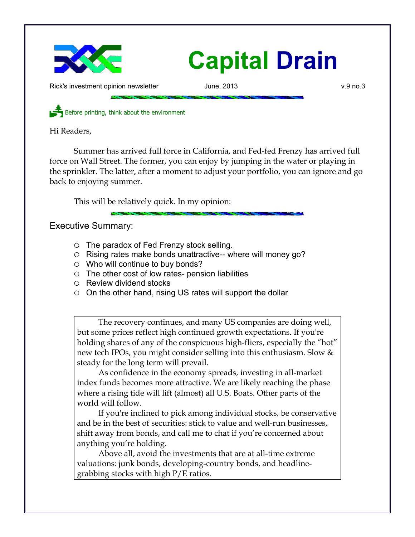

Rick's investment opinion newsletter **June, 2013** v.9 no.3

Before printing, think about the environment

Hi Readers,

Summer has arrived full force in California, and Fed-fed Frenzy has arrived full force on Wall Street. The former, you can enjoy by jumping in the water or playing in the sprinkler. The latter, after a moment to adjust your portfolio, you can ignore and go back to enjoying summer.

This will be relatively quick. In my opinion:

Executive Summary:

- The paradox of Fed Frenzy stock selling.
- Rising rates make bonds unattractive-- where will money go?
- $\circ$  Who will continue to buy bonds?
- $\circ$  The other cost of low rates- pension liabilities
- Review dividend stocks
- $\circ$  On the other hand, rising US rates will support the dollar

The recovery continues, and many US companies are doing well, but some prices reflect high continued growth expectations. If you're holding shares of any of the conspicuous high-fliers, especially the "hot" new tech IPOs, you might consider selling into this enthusiasm. Slow & steady for the long term will prevail.

As confidence in the economy spreads, investing in all-market index funds becomes more attractive. We are likely reaching the phase where a rising tide will lift (almost) all U.S. Boats. Other parts of the world will follow.

If you're inclined to pick among individual stocks, be conservative and be in the best of securities: stick to value and well-run businesses, shift away from bonds, and call me to chat if you're concerned about anything you're holding.

Above all, avoid the investments that are at all-time extreme valuations: junk bonds, developing-country bonds, and headlinegrabbing stocks with high P/E ratios.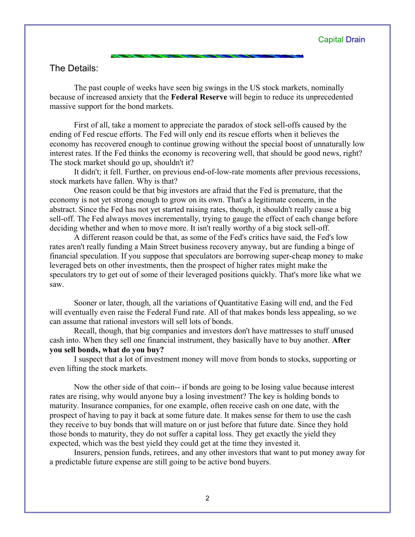## The Details:

The past couple of weeks have seen big swings in the US stock markets, nominally because of increased anxiety that the **Federal Reserve** will begin to reduce its unprecedented massive support for the bond markets.

First of all, take a moment to appreciate the paradox of stock sell-offs caused by the ending of Fed rescue efforts. The Fed will only end its rescue efforts when it believes the economy has recovered enough to continue growing without the special boost of unnaturally low interest rates. If the Fed thinks the economy is recovering well, that should be good news, right? The stock market should go up, shouldn't it?

It didn't; it fell. Further, on previous end-of-low-rate moments after previous recessions, stock markets have fallen. Why is that?

One reason could be that big investors are afraid that the Fed is premature, that the economy is not yet strong enough to grow on its own. That's a legitimate concern, in the abstract. Since the Fed has not yet started raising rates, though, it shouldn't really cause a big sell-off. The Fed always moves incrementally, trying to gauge the effect of each change before deciding whether and when to move more. It isn't really worthy of a big stock sell-off.

A different reason could be that, as some of the Fed's critics have said, the Fed's low rates aren't really funding a Main Street business recovery anyway, but are funding a binge of financial speculation. If you suppose that speculators are borrowing super-cheap money to make leveraged bets on other investments, then the prospect of higher rates might make the speculators try to get out of some of their leveraged positions quickly. That's more like what we saw.

Sooner or later, though, all the variations of Quantitative Easing will end, and the Fed will eventually even raise the Federal Fund rate. All of that makes bonds less appealing, so we can assume that rational investors will sell lots of bonds.

Recall, though, that big companies and investors don't have mattresses to stuff unused cash into. When they sell one financial instrument, they basically have to buy another. **After you sell bonds, what do you buy?**

I suspect that a lot of investment money will move from bonds to stocks, supporting or even lifting the stock markets.

Now the other side of that coin-- if bonds are going to be losing value because interest rates are rising, why would anyone buy a losing investment? The key is holding bonds to maturity. Insurance companies, for one example, often receive cash on one date, with the prospect of having to pay it back at some future date. It makes sense for them to use the cash they receive to buy bonds that will mature on or just before that future date. Since they hold those bonds to maturity, they do not suffer a capital loss. They get exactly the yield they expected, which was the best yield they could get at the time they invested it.

Insurers, pension funds, retirees, and any other investors that want to put money away for a predictable future expense are still going to be active bond buyers.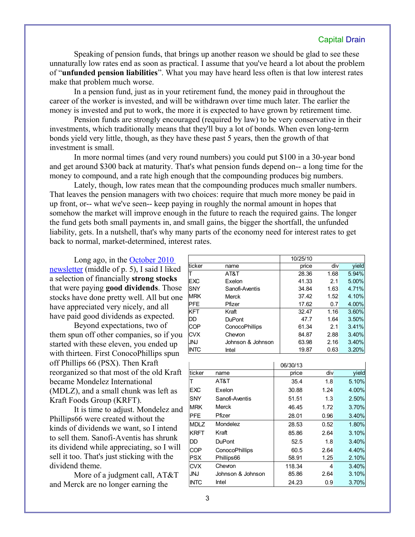Speaking of pension funds, that brings up another reason we should be glad to see these unnaturally low rates end as soon as practical. I assume that you've heard a lot about the problem of "**unfunded pension liabilities**". What you may have heard less often is that low interest rates make that problem much worse.

In a pension fund, just as in your retirement fund, the money paid in throughout the career of the worker is invested, and will be withdrawn over time much later. The earlier the money is invested and put to work, the more it is expected to have grown by retirement time.

Pension funds are strongly encouraged (required by law) to be very conservative in their investments, which traditionally means that they'll buy a lot of bonds. When even long-term bonds yield very little, though, as they have these past 5 years, then the growth of that investment is small.

In more normal times (and very round numbers) you could put \$100 in a 30-year bond and get around \$300 back at maturity. That's what pension funds depend on-- a long time for the money to compound, and a rate high enough that the compounding produces big numbers.

Lately, though, low rates mean that the compounding produces much smaller numbers. That leaves the pension managers with two choices: require that much more money be paid in up front, or-- what we've seen-- keep paying in roughly the normal amount in hopes that somehow the market will improve enough in the future to reach the required gains. The longer the fund gets both small payments in, and small gains, the bigger the shortfall, the unfunded liability, gets. In a nutshell, that's why many parts of the economy need for interest rates to get back to normal, market-determined, interest rates.

Long ago, in the [October 2010](http://www.longspliceinvest.com/CapDrain/CapDrain_v6n3.pdf) [newsletter](http://www.longspliceinvest.com/CapDrain/CapDrain_v6n3.pdf) (middle of p. 5), I said I liked a selection of financially **strong stocks** that were paying **good dividends**. Those stocks have done pretty well. All but one have appreciated very nicely, and all have paid good dividends as expected.

Beyond expectations, two of them spun off other companies, so if you started with these eleven, you ended up with thirteen. First ConocoPhillips spun off Phillips 66 (PSX). Then Kraft reorganized so that most of the old Kraft became Mondelez International (MDLZ), and a small chunk was left as Kraft Foods Group (KRFT).

It is time to adjust. Mondelez and Phillips66 were created without the kinds of dividends we want, so I intend to sell them. Sanofi-Aventis has shrunk its dividend while appreciating, so I will sell it too. That's just sticking with the dividend theme.

More of a judgment call, AT&T and Merck are no longer earning the

|             |                       | 10/25/10 |      |       |
|-------------|-----------------------|----------|------|-------|
| ticker      | name                  | price    | div  | yield |
|             | AT&T                  | 28.36    | 1.68 | 5.94% |
| <b>EXC</b>  | Exelon                | 41.33    | 2.1  | 5.00% |
| ISNY        | Sanofi-Aventis        | 34.84    | 1.63 | 4.71% |
| <b>MRK</b>  | Merck                 | 37.42    | 1.52 | 4.10% |
| PFE         | Pfizer                | 17.62    | 0.7  | 4.00% |
| <b>KFT</b>  | Kraft                 | 32.47    | 1.16 | 3.60% |
| DD          | <b>DuPont</b>         | 47.7     | 1.64 | 3.50% |
| <b>COP</b>  | <b>ConocoPhillips</b> | 61.34    | 2.1  | 3.41% |
| <b>CVX</b>  | Chevron               | 84.87    | 2.88 | 3.40% |
| <b>JNJ</b>  | Johnson & Johnson     | 63.98    | 2.16 | 3.40% |
| <b>INTC</b> | Intel                 | 19.87    | 0.63 | 3.20% |

|             |                       | 06/30/13 |      |       |
|-------------|-----------------------|----------|------|-------|
| ticker      | name                  | price    | div  | yield |
| Т           | AT&T                  | 35.4     | 1.8  | 5.10% |
| <b>EXC</b>  | Exelon                | 30.88    | 1.24 | 4.00% |
| <b>SNY</b>  | Sanofi-Aventis        | 51.51    | 1.3  | 2.50% |
| <b>MRK</b>  | Merck                 | 46.45    | 1.72 | 3.70% |
| <b>PFE</b>  | Pfizer                | 28.01    | 0.96 | 3.40% |
| <b>MDLZ</b> | Mondelez              | 28.53    | 0.52 | 1.80% |
| <b>KRFT</b> | Kraft                 | 85.86    | 2.64 | 3.10% |
| DD          | <b>DuPont</b>         | 52.5     | 1.8  | 3.40% |
| COP         | <b>ConocoPhillips</b> | 60.5     | 2.64 | 4.40% |
| <b>PSX</b>  | Phillips66            | 58.91    | 1.25 | 2.10% |
| <b>CVX</b>  | Chevron               | 118.34   | 4    | 3.40% |
| JNJ         | Johnson & Johnson     | 85.86    | 2.64 | 3.10% |
| <b>INTC</b> | Intel                 | 24.23    | 0.9  | 3.70% |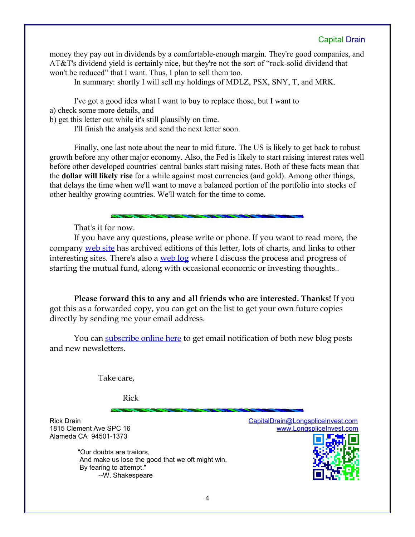money they pay out in dividends by a comfortable-enough margin. They're good companies, and AT&T's dividend yield is certainly nice, but they're not the sort of "rock-solid dividend that won't be reduced" that I want. Thus, I plan to sell them too.

In summary: shortly I will sell my holdings of MDLZ, PSX, SNY, T, and MRK.

I've got a good idea what I want to buy to replace those, but I want to a) check some more details, and

b) get this letter out while it's still plausibly on time.

I'll finish the analysis and send the next letter soon.

Finally, one last note about the near to mid future. The US is likely to get back to robust growth before any other major economy. Also, the Fed is likely to start raising interest rates well before other developed countries' central banks start raising rates. Both of these facts mean that the **dollar will likely rise** for a while against most currencies (and gold). Among other things, that delays the time when we'll want to move a balanced portion of the portfolio into stocks of other healthy growing countries. We'll watch for the time to come.

That's it for now.

If you have any questions, please write or phone. If you want to read more, the company [web site](http://www.LongspliceInvest.com/newsletter.shtml) has archived editions of this letter, lots of charts, and links to other interesting sites. There's also a [web log](http://www.LongspliceInvestments.com/ricksblog) where I discuss the process and progress of starting the mutual fund, along with occasional economic or investing thoughts..

**Please forward this to any and all friends who are interested. Thanks!** If you got this as a forwarded copy, you can get on the list to get your own future copies directly by sending me your email address.

You can [subscribe online here](http://www.longspliceinvest.com/ricksblog/subscribe/) to get email notification of both new blog posts and new newsletters.

Take care,

Rick

Alameda CA 94501-1373

 "Our doubts are traitors, And make us lose the good that we oft might win, By fearing to attempt." --W. Shakespeare

Rick Drain [CapitalDrain@LongspliceInvest.com](mailto:CapitalDrain@LongspliceInvest.com?subject=newsletter%20feedback) 1815 Clement Ave SPC 16 [www.LongspliceInvest.com](http://www.LongspliceInvest.com/)